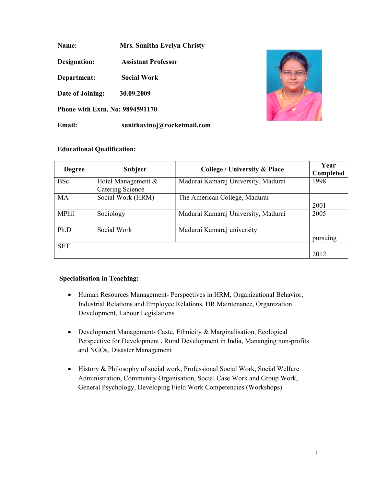Name: Mrs. Sunitha Evelyn Christy

Designation: Assistant Professor

Department: Social Work

Date of Joining: 30.09.2009

Phone with Extn. No: 9894591170

Email: sunithavinoj@rocketmail.com

# Educational Qualification:

| <b>Degree</b> | <b>Subject</b>                         | <b>College / University &amp; Place</b> | Year<br>Completed |
|---------------|----------------------------------------|-----------------------------------------|-------------------|
| <b>BSc</b>    | Hotel Management &<br>Catering Science | Madurai Kamaraj University, Madurai     | 1998              |
| <b>MA</b>     | Social Work (HRM)                      | The American College, Madurai           | 2001              |
| MPhil         | Sociology                              | Madurai Kamaraj University, Madurai     | 2005              |
| Ph.D          | Social Work                            | Madurai Kamaraj university              | pursuing          |
| <b>SET</b>    |                                        |                                         | 2012              |

## Specialisation in Teaching:

- Human Resources Management- Perspectives in HRM, Organizational Behavior, Industrial Relations and Employee Relations, HR Maintenance, Organization Development, Labour Legislations
- Development Management- Caste, Ethnicity & Marginalisation, Ecological Perspective for Development , Rural Development in India, Mananging non-profits and NGOs, Disaster Management
- History & Philosophy of social work, Professional Social Work, Social Welfare Administration, Community Organisation, Social Case Work and Group Work, General Psychology, Developing Field Work Competencies (Workshops)

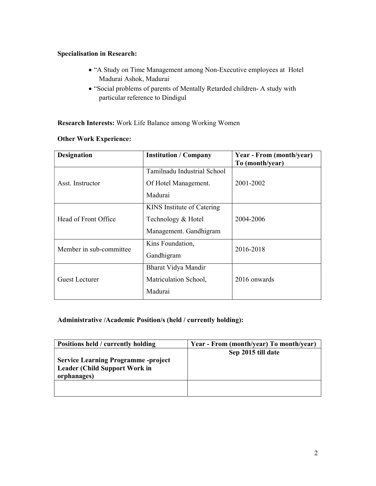# Specialisation in Research:

- "A Study on Time Management among Non-Executive employees at Hotel Madurai Ashok, Madurai
- "Social problems of parents of Mentally Retarded children- A study with particular reference to Dindigul

# Research Interests: Work Life Balance among Working Women

| <b>Designation</b>      | <b>Institution / Company</b> | Year - From (month/year)<br>To (month/year) |  |
|-------------------------|------------------------------|---------------------------------------------|--|
|                         | Tamilnadu Industrial School  |                                             |  |
| Asst. Instructor        | Of Hotel Management.         | 2001-2002                                   |  |
|                         | Madurai                      |                                             |  |
|                         | KINS Institute of Catering   |                                             |  |
| Head of Front Office    | Technology & Hotel           | 2004-2006                                   |  |
|                         | Management. Gandhigram       |                                             |  |
| Member in sub-committee | Kins Foundation,             |                                             |  |
|                         | Gandhigram                   | 2016-2018                                   |  |
|                         | Bharat Vidya Mandir          |                                             |  |
| Guest Lecturer          | Matriculation School,        | 2016 onwards                                |  |
|                         | Madurai                      |                                             |  |

# Other Work Experience:

## Administrative /Academic Position/s (held / currently holding):

| Positions held / currently holding                                                                | Year - From (month/year) To month/year) |
|---------------------------------------------------------------------------------------------------|-----------------------------------------|
| <b>Service Learning Programme -project</b><br><b>Leader (Child Support Work in</b><br>orphanages) | Sep 2015 till date                      |
|                                                                                                   |                                         |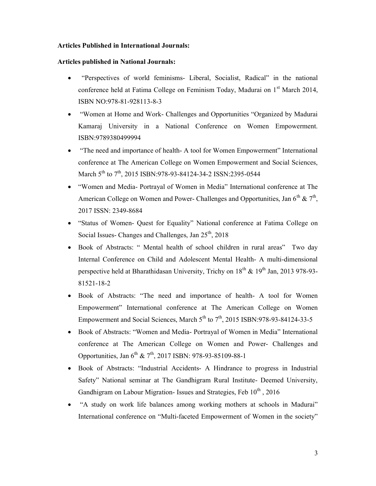## Articles Published in International Journals:

#### Articles published in National Journals:

- "Perspectives of world feminisms- Liberal, Socialist, Radical" in the national conference held at Fatima College on Feminism Today, Madurai on 1<sup>st</sup> March 2014, ISBN NO:978-81-928113-8-3
- "Women at Home and Work- Challenges and Opportunities "Organized by Madurai Kamaraj University in a National Conference on Women Empowerment. ISBN:9789380499994
- "The need and importance of health- A tool for Women Empowerment" International conference at The American College on Women Empowerment and Social Sciences, March 5<sup>th</sup> to 7<sup>th</sup>, 2015 ISBN:978-93-84124-34-2 ISSN:2395-0544
- "Women and Media- Portrayal of Women in Media" International conference at The American College on Women and Power- Challenges and Opportunities, Jan  $6<sup>th</sup>$  &  $7<sup>th</sup>$ , 2017 ISSN: 2349-8684
- "Status of Women- Quest for Equality" National conference at Fatima College on Social Issues- Changes and Challenges, Jan  $25<sup>th</sup>$ , 2018
- Book of Abstracts: " Mental health of school children in rural areas" Two day Internal Conference on Child and Adolescent Mental Health- A multi-dimensional perspective held at Bharathidasan University, Trichy on 18<sup>th</sup> & 19<sup>th</sup> Jan, 2013 978-93-81521-18-2
- Book of Abstracts: "The need and importance of health- A tool for Women Empowerment" International conference at The American College on Women Empowerment and Social Sciences, March  $5<sup>th</sup>$  to  $7<sup>th</sup>$ , 2015 ISBN:978-93-84124-33-5
- Book of Abstracts: "Women and Media- Portrayal of Women in Media" International conference at The American College on Women and Power- Challenges and Opportunities, Jan 6th & 7th, 2017 ISBN: 978-93-85109-88-1
- Book of Abstracts: "Industrial Accidents- A Hindrance to progress in Industrial Safety" National seminar at The Gandhigram Rural Institute- Deemed University, Gandhigram on Labour Migration- Issues and Strategies, Feb  $10^{th}$ , 2016
- "A study on work life balances among working mothers at schools in Madurai" International conference on "Multi-faceted Empowerment of Women in the society"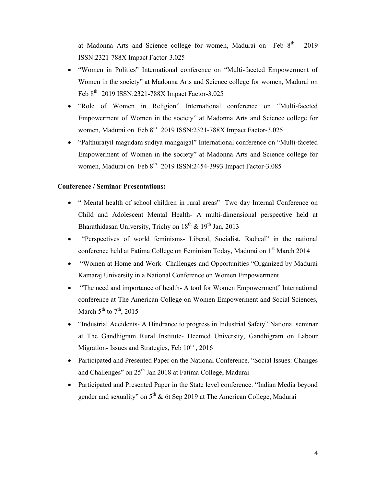at Madonna Arts and Science college for women, Madurai on Feb  $8<sup>th</sup>$  2019 ISSN:2321-788X Impact Factor-3.025

- "Women in Politics" International conference on "Multi-faceted Empowerment of Women in the society" at Madonna Arts and Science college for women, Madurai on Feb 8th 2019 ISSN:2321-788X Impact Factor-3.025
- "Role of Women in Religion" International conference on "Multi-faceted Empowerment of Women in the society" at Madonna Arts and Science college for women, Madurai on Feb 8<sup>th</sup> 2019 ISSN:2321-788X Impact Factor-3.025
- "Palthuraiyil magudam sudiya mangaigal" International conference on "Multi-faceted Empowerment of Women in the society" at Madonna Arts and Science college for women, Madurai on Feb  $8<sup>th</sup>$  2019 ISSN:2454-3993 Impact Factor-3.085

## Conference / Seminar Presentations:

- " Mental health of school children in rural areas" Two day Internal Conference on Child and Adolescent Mental Health- A multi-dimensional perspective held at Bharathidasan University, Trichy on  $18^{th}$  &  $19^{th}$  Jan, 2013
- "Perspectives of world feminisms- Liberal, Socialist, Radical" in the national conference held at Fatima College on Feminism Today, Madurai on 1st March 2014
- "Women at Home and Work- Challenges and Opportunities "Organized by Madurai Kamaraj University in a National Conference on Women Empowerment
- "The need and importance of health- A tool for Women Empowerment" International conference at The American College on Women Empowerment and Social Sciences, March  $5^{th}$  to  $7^{th}$ , 2015
- "Industrial Accidents- A Hindrance to progress in Industrial Safety" National seminar at The Gandhigram Rural Institute- Deemed University, Gandhigram on Labour Migration- Issues and Strategies, Feb  $10^{th}$ , 2016
- Participated and Presented Paper on the National Conference. "Social Issues: Changes and Challenges" on 25<sup>th</sup> Jan 2018 at Fatima College, Madurai
- Participated and Presented Paper in the State level conference. "Indian Media beyond gender and sexuality" on  $5<sup>th</sup>$  & 6t Sep 2019 at The American College, Madurai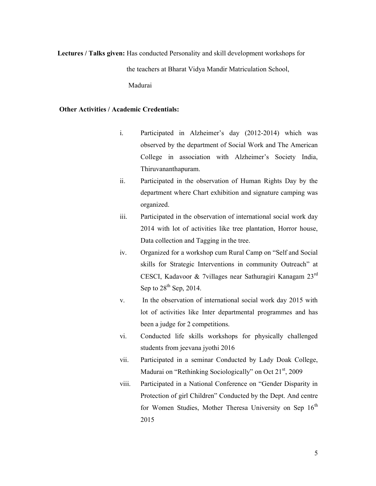Lectures / Talks given: Has conducted Personality and skill development workshops for the teachers at Bharat Vidya Mandir Matriculation School, Madurai

## Other Activities / Academic Credentials:

- i. Participated in Alzheimer's day (2012-2014) which was observed by the department of Social Work and The American College in association with Alzheimer's Society India, Thiruvananthapuram.
- ii. Participated in the observation of Human Rights Day by the department where Chart exhibition and signature camping was organized.
- iii. Participated in the observation of international social work day 2014 with lot of activities like tree plantation, Horror house, Data collection and Tagging in the tree.
- iv. Organized for a workshop cum Rural Camp on "Self and Social skills for Strategic Interventions in community Outreach" at CESCI, Kadavoor & 7villages near Sathuragiri Kanagam 23rd Sep to  $28<sup>th</sup>$  Sep, 2014.
- v. In the observation of international social work day 2015 with lot of activities like Inter departmental programmes and has been a judge for 2 competitions.
- vi. Conducted life skills workshops for physically challenged students from jeevana jyothi 2016
- vii. Participated in a seminar Conducted by Lady Doak College, Madurai on "Rethinking Sociologically" on Oct  $21<sup>st</sup>$ , 2009
- viii. Participated in a National Conference on "Gender Disparity in Protection of girl Children" Conducted by the Dept. And centre for Women Studies, Mother Theresa University on Sep  $16<sup>th</sup>$ 2015